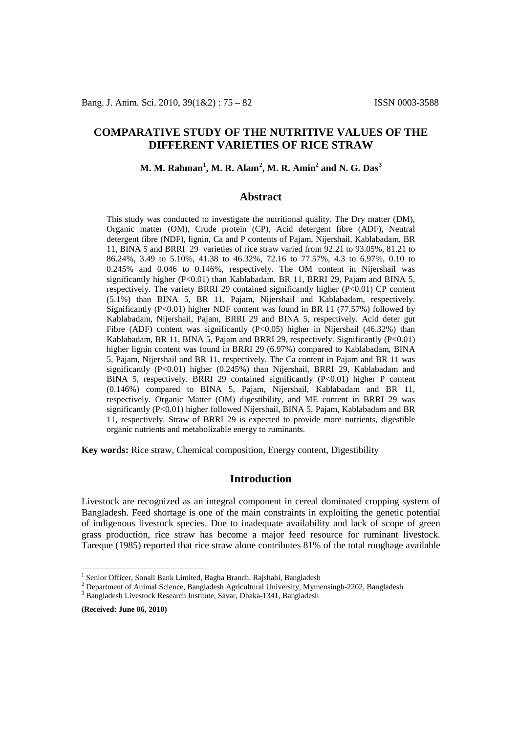# **COMPARATIVE STUDY OF THE NUTRITIVE VALUES OF THE DIFFERENT VARIETIES OF RICE STRAW**

## **M. M. Rahman[1](#page-0-0) , M. R. Alam[2](#page-0-1) , M. R. Amin2 and N. G. Das[3](#page-0-2)**

## **Abstract**

This study was conducted to investigate the nutritional quality. The Dry matter (DM), Organic matter (OM), Crude protein (CP), Acid detergent fibre (ADF), Neutral detergent fibre (NDF), lignin, Ca and P contents of Pajam, Nijershail, Kablabadam, BR 11, BINA 5 and BRRI 29 varieties of rice straw varied from 92.21 to 93.05%, 81.21 to 86.24%, 3.49 to 5.10%, 41.38 to 46.32%, 72.16 to 77.57%, 4.3 to 6.97%, 0.10 to 0.245% and 0.046 to 0.146%, respectively. The OM content in Nijershail was significantly higher (P<0.01) than Kablabadam, BR 11, BRRI 29, Pajam and BINA 5, respectively. The variety BRRI 29 contained significantly higher (P<0.01) CP content (5.1%) than BINA 5, BR 11, Pajam, Nijershail and Kablabadam, respectively. Significantly (P<0.01) higher NDF content was found in BR 11 (77.57%) followed by Kablabadam, Nijershail, Pajam, BRRI 29 and BINA 5, respectively. Acid deter gut Fibre (ADF) content was significantly  $(P<0.05)$  higher in Nijershail (46.32%) than Kablabadam, BR 11, BINA 5, Pajam and BRRI 29, respectively. Significantly (P<0.01) higher lignin content was found in BRRI 29 (6.97%) compared to Kablabadam, BINA 5, Pajam, Nijershail and BR 11, respectively. The Ca content in Pajam and BR 11 was significantly  $(P<0.01)$  higher  $(0.245%)$  than Nijershail, BRRI 29, Kablabadam and BINA 5, respectively. BRRI 29 contained significantly  $(P<0.01)$  higher P content (0.146%) compared to BINA 5, Pajam, Nijershail, Kablabadam and BR 11, respectively. Organic Matter (OM) digestibility, and ME content in BRRI 29 was significantly (P<0.01) higher followed Nijershail, BINA 5, Pajam, Kablabadam and BR 11, respectively. Straw of BRRI 29 is expected to provide more nutrients, digestible organic nutrients and metabolizable energy to ruminants.

**Key words:** Rice straw, Chemical composition, Energy content, Digestibility

## **Introduction**

Livestock are recognized as an integral component in cereal dominated cropping system of Bangladesh. Feed shortage is one of the main constraints in exploiting the genetic potential of indigenous livestock species. Due to inadequate availability and lack of scope of green grass production, rice straw has become a major feed resource for ruminant livestock. Tareque (1985) reported that rice straw alone contributes 81% of the total roughage available

**(Received: June 06, 2010)**

<span id="page-0-0"></span><sup>&</sup>lt;sup>1</sup> Senior Officer, Sonali Bank Limited, Bagha Branch, Rajshahi, Bangladesh

<span id="page-0-1"></span><sup>&</sup>lt;sup>2</sup> Department of Animal Science, Bangladesh Agricultural University, Mymensingh-2202, Bangladesh  $\frac{3}{3}$  Bangladesh Livestock Research Institute, Savar, Dhaka-1341, Bangladesh

<span id="page-0-2"></span>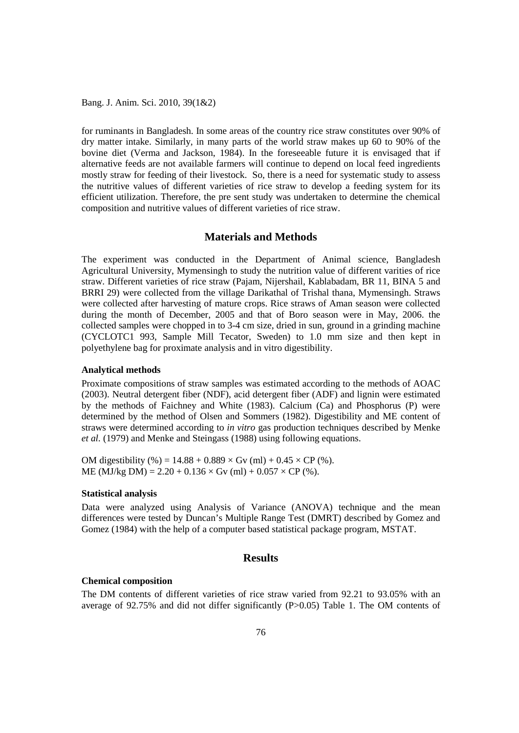for ruminants in Bangladesh. In some areas of the country rice straw constitutes over 90% of dry matter intake. Similarly, in many parts of the world straw makes up 60 to 90% of the bovine diet (Verma and Jackson, 1984). In the foreseeable future it is envisaged that if alternative feeds are not available farmers will continue to depend on local feed ingredients mostly straw for feeding of their livestock. So, there is a need for systematic study to assess the nutritive values of different varieties of rice straw to develop a feeding system for its efficient utilization. Therefore, the pre sent study was undertaken to determine the chemical composition and nutritive values of different varieties of rice straw.

## **Materials and Methods**

The experiment was conducted in the Department of Animal science, Bangladesh Agricultural University, Mymensingh to study the nutrition value of different varities of rice straw. Different varieties of rice straw (Pajam, Nijershail, Kablabadam, BR 11, BINA 5 and BRRI 29) were collected from the village Darikathal of Trishal thana, Mymensingh. Straws were collected after harvesting of mature crops. Rice straws of Aman season were collected during the month of December, 2005 and that of Boro season were in May, 2006. the collected samples were chopped in to 3-4 cm size, dried in sun, ground in a grinding machine (CYCLOTC1 993, Sample Mill Tecator, Sweden) to 1.0 mm size and then kept in polyethylene bag for proximate analysis and in vitro digestibility.

#### **Analytical methods**

Proximate compositions of straw samples was estimated according to the methods of AOAC (2003). Neutral detergent fiber (NDF), acid detergent fiber (ADF) and lignin were estimated by the methods of Faichney and White (1983). Calcium (Ca) and Phosphorus (P) were determined by the method of Olsen and Sommers (1982). Digestibility and ME content of straws were determined according to *in vitro* gas production techniques described by Menke *et al.* (1979) and Menke and Steingass (1988) using following equations.

OM digestibility (%) =  $14.88 + 0.889 \times$  Gv (ml) +  $0.45 \times$  CP (%). ME (MJ/kg DM) =  $2.20 + 0.136 \times$  Gv (ml) +  $0.057 \times$  CP (%).

### **Statistical analysis**

Data were analyzed using Analysis of Variance (ANOVA) technique and the mean differences were tested by Duncan's Multiple Range Test (DMRT) described by Gomez and Gomez (1984) with the help of a computer based statistical package program, MSTAT.

## **Results**

#### **Chemical composition**

The DM contents of different varieties of rice straw varied from 92.21 to 93.05% with an average of 92.75% and did not differ significantly (P>0.05) Table 1. The OM contents of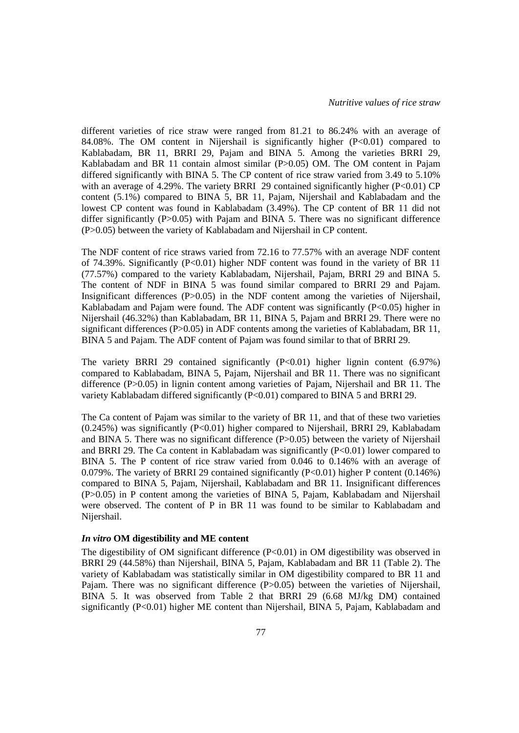different varieties of rice straw were ranged from 81.21 to 86.24% with an average of 84.08%. The OM content in Nijershail is significantly higher  $(P<0.01)$  compared to Kablabadam, BR 11, BRRI 29, Pajam and BINA 5. Among the varieties BRRI 29, Kablabadam and BR 11 contain almost similar (P>0.05) OM. The OM content in Pajam differed significantly with BINA 5. The CP content of rice straw varied from 3.49 to 5.10% with an average of 4.29%. The variety BRRI 29 contained significantly higher  $(P<0.01)$  CP content (5.1%) compared to BINA 5, BR 11, Pajam, Nijershail and Kablabadam and the lowest CP content was found in Kablabadam (3.49%). The CP content of BR 11 did not differ significantly (P>0.05) with Pajam and BINA 5. There was no significant difference (P>0.05) between the variety of Kablabadam and Nijershail in CP content.

The NDF content of rice straws varied from 72.16 to 77.57% with an average NDF content of 74.39%. Significantly (P<0.01) higher NDF content was found in the variety of BR 11 (77.57%) compared to the variety Kablabadam, Nijershail, Pajam, BRRI 29 and BINA 5. The content of NDF in BINA 5 was found similar compared to BRRI 29 and Pajam. Insignificant differences (P>0.05) in the NDF content among the varieties of Nijershail, Kablabadam and Pajam were found. The ADF content was significantly  $(P<0.05)$  higher in Nijershail (46.32%) than Kablabadam, BR 11, BINA 5, Pajam and BRRI 29. There were no significant differences (P>0.05) in ADF contents among the varieties of Kablabadam, BR 11, BINA 5 and Pajam. The ADF content of Pajam was found similar to that of BRRI 29.

The variety BRRI 29 contained significantly (P<0.01) higher lignin content (6.97%) compared to Kablabadam, BINA 5, Pajam, Nijershail and BR 11. There was no significant difference (P>0.05) in lignin content among varieties of Pajam, Nijershail and BR 11. The variety Kablabadam differed significantly (P<0.01) compared to BINA 5 and BRRI 29.

The Ca content of Pajam was similar to the variety of BR 11, and that of these two varieties (0.245%) was significantly (P<0.01) higher compared to Nijershail, BRRI 29, Kablabadam and BINA 5. There was no significant difference  $(P>0.05)$  between the variety of Nijershail and BRRI 29. The Ca content in Kablabadam was significantly  $(P<0.01)$  lower compared to BINA 5. The P content of rice straw varied from 0.046 to 0.146% with an average of 0.079%. The variety of BRRI 29 contained significantly (P<0.01) higher P content (0.146%) compared to BINA 5, Pajam, Nijershail, Kablabadam and BR 11. Insignificant differences (P>0.05) in P content among the varieties of BINA 5, Pajam, Kablabadam and Nijershail were observed. The content of P in BR 11 was found to be similar to Kablabadam and Nijershail.

## *In vitro* **OM digestibility and ME content**

The digestibility of OM significant difference  $(P<0.01)$  in OM digestibility was observed in BRRI 29 (44.58%) than Nijershail, BINA 5, Pajam, Kablabadam and BR 11 (Table 2). The variety of Kablabadam was statistically similar in OM digestibility compared to BR 11 and Pajam. There was no significant difference (P>0.05) between the varieties of Nijershail, BINA 5. It was observed from Table 2 that BRRI 29 (6.68 MJ/kg DM) contained significantly (P<0.01) higher ME content than Nijershail, BINA 5, Pajam, Kablabadam and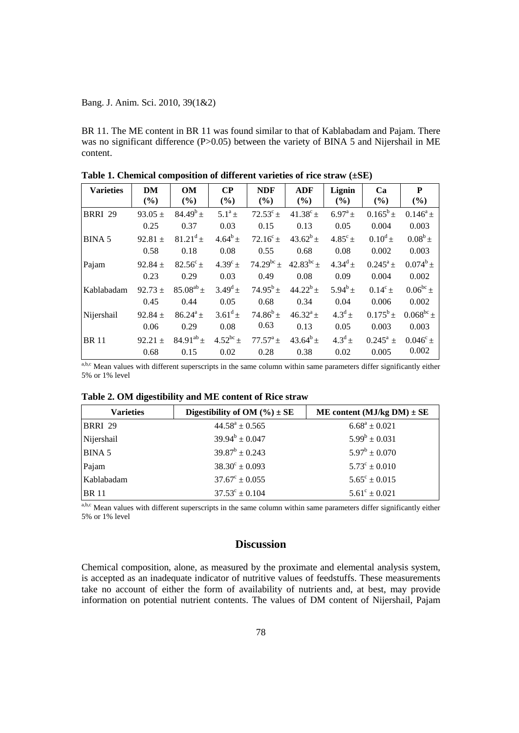BR 11. The ME content in BR 11 was found similar to that of Kablabadam and Pajam. There was no significant difference  $(P>0.05)$  between the variety of BINA 5 and Nijershail in ME content.

| <b>Varieties</b> | DM<br>(%)   | OM<br>(%)         | $\bf CP$<br>(%)  | <b>NDF</b><br>(%) | <b>ADF</b><br>(%) | Lignin<br>(%)    | Ca<br>(%)        | P<br>(%)          |
|------------------|-------------|-------------------|------------------|-------------------|-------------------|------------------|------------------|-------------------|
| <b>BRRI 29</b>   | 93.05 $\pm$ | $84.49^{b}$ ±     | $5.1^a \pm$      | $72.53^c \pm$     | $41.38^c \pm$     | $6.97^{\rm a}$ ± | $0.165^b \pm$    | $0.146^a \pm$     |
|                  | 0.25        | 0.37              | 0.03             | 0.15              | 0.13              | 0.05             | 0.004            | 0.003             |
| <b>BINA 5</b>    | 92.81 $\pm$ | $81.21^d \pm$     | $4.64^b \pm$     | $72.16^{\circ}$ ± | $43.62^b \pm$     | $4.85^{\circ}$ ± | $0.10^d \pm$     | $0.08^b \pm$      |
|                  | 0.58        | 0.18              | 0.08             | 0.55              | 0.68              | 0.08             | 0.002            | 0.003             |
| Pajam            | $92.84 \pm$ | $82.56^{\circ}$ ± | $4.39^{\circ}$ ± | $74.29^{bc}$ ±    | $42.83^{bc}$ ±    | $4.34^d \pm$     | $0.245^a \pm$    | $0.074^b \pm$     |
|                  | 0.23        | 0.29              | 0.03             | 0.49              | 0.08              | 0.09             | 0.004            | 0.002             |
| Kablabadam       | $92.73 +$   | $85.08^{ab}$ ±    | $3.49^d \pm$     | $74.95^b \pm$     | $44.22^b$ ±       | $5.94^{b}$ ±     | $0.14^{\circ}$ ± | $0.06^{bc}$ ±     |
|                  | 0.45        | 0.44              | 0.05             | 0.68              | 0.34              | 0.04             | 0.006            | 0.002             |
| Nijershail       | $92.84 \pm$ | $86.24^a \pm$     | $3.61^d \pm$     | $74.86^b \pm$     | $46.32^{\rm a}$ ± | $4.3^d$ ±        | $0.175^b \pm$    | $0.068^{bc}$ ±    |
|                  | 0.06        | 0.29              | 0.08             | 0.63              | 0.13              | 0.05             | 0.003            | 0.003             |
| <b>BR</b> 11     | $92.21 +$   | $84.91^{ab}$ +    | $4.52^{bc}$ ±    | $77.57^{\rm a}$ ± | $43.64^{b}$ ±     | $4.3^d$ ±        | $0.245^a \pm$    | $0.046^{\circ}$ + |
|                  | 0.68        | 0.15              | 0.02             | 0.28              | 0.38              | 0.02             | 0.005            | 0.002             |

**Table 1. Chemical composition of different varieties of rice straw (±SE)**

a,b,c Mean values with different superscripts in the same column within same parameters differ significantly either 5% or 1% level

|  | Table 2. OM digestibility and ME content of Rice straw |  |
|--|--------------------------------------------------------|--|
|--|--------------------------------------------------------|--|

| <b>Varieties</b> | Digestibility of OM $(\% ) \pm SE$ | ME content (MJ/kg DM) $\pm$ SE |
|------------------|------------------------------------|--------------------------------|
| <b>BRRI 29</b>   | $44.58^a \pm 0.565$                | $6.68^a \pm 0.021$             |
| Nijershail       | $39.94^b \pm 0.047$                | $5.99^b \pm 0.031$             |
| <b>BINA 5</b>    | $39.87^b \pm 0.243$                | $5.97^b \pm 0.070$             |
| Pajam            | $38.30^{\circ} \pm 0.093$          | $5.73^{\circ} \pm 0.010$       |
| Kablabadam       | $37.67^{\circ} \pm 0.055$          | $5.65^{\circ} \pm 0.015$       |
| <b>BR11</b>      | $37.53^{\circ} \pm 0.104$          | $5.61^{\circ} \pm 0.021$       |

a,b,c Mean values with different superscripts in the same column within same parameters differ significantly either 5% or 1% level

## **Discussion**

Chemical composition, alone, as measured by the proximate and elemental analysis system, is accepted as an inadequate indicator of nutritive values of feedstuffs. These measurements take no account of either the form of availability of nutrients and, at best, may provide information on potential nutrient contents. The values of DM content of Nijershail, Pajam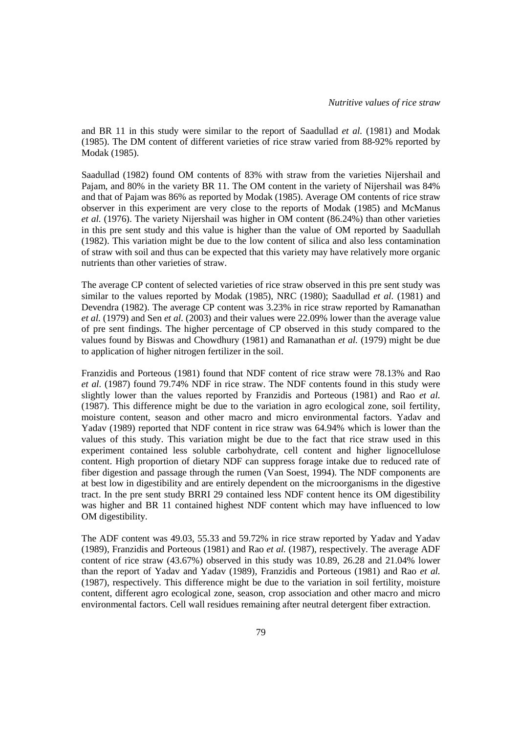and BR 11 in this study were similar to the report of Saadullad *et al.* (1981) and Modak (1985). The DM content of different varieties of rice straw varied from 88-92% reported by Modak (1985).

Saadullad (1982) found OM contents of 83% with straw from the varieties Nijershail and Pajam, and 80% in the variety BR 11. The OM content in the variety of Nijershail was 84% and that of Pajam was 86% as reported by Modak (1985). Average OM contents of rice straw observer in this experiment are very close to the reports of Modak (1985) and McManus *et al.* (1976). The variety Nijershail was higher in OM content (86.24%) than other varieties in this pre sent study and this value is higher than the value of OM reported by Saadullah (1982). This variation might be due to the low content of silica and also less contamination of straw with soil and thus can be expected that this variety may have relatively more organic nutrients than other varieties of straw.

The average CP content of selected varieties of rice straw observed in this pre sent study was similar to the values reported by Modak (1985), NRC (1980); Saadullad *et al.* (1981) and Devendra (1982). The average CP content was 3.23% in rice straw reported by Ramanathan *et al.* (1979) and Sen *et al.* (2003) and their values were 22.09% lower than the average value of pre sent findings. The higher percentage of CP observed in this study compared to the values found by Biswas and Chowdhury (1981) and Ramanathan *et al.* (1979) might be due to application of higher nitrogen fertilizer in the soil.

Franzidis and Porteous (1981) found that NDF content of rice straw were 78.13% and Rao *et al.* (1987) found 79.74% NDF in rice straw. The NDF contents found in this study were slightly lower than the values reported by Franzidis and Porteous (1981) and Rao *et al.* (1987). This difference might be due to the variation in agro ecological zone, soil fertility, moisture content, season and other macro and micro environmental factors. Yadav and Yadav (1989) reported that NDF content in rice straw was 64.94% which is lower than the values of this study. This variation might be due to the fact that rice straw used in this experiment contained less soluble carbohydrate, cell content and higher lignocellulose content. High proportion of dietary NDF can suppress forage intake due to reduced rate of fiber digestion and passage through the rumen (Van Soest, 1994). The NDF components are at best low in digestibility and are entirely dependent on the microorganisms in the digestive tract. In the pre sent study BRRI 29 contained less NDF content hence its OM digestibility was higher and BR 11 contained highest NDF content which may have influenced to low OM digestibility.

The ADF content was 49.03, 55.33 and 59.72% in rice straw reported by Yadav and Yadav (1989), Franzidis and Porteous (1981) and Rao *et al.* (1987), respectively. The average ADF content of rice straw (43.67%) observed in this study was 10.89, 26.28 and 21.04% lower than the report of Yadav and Yadav (1989), Franzidis and Porteous (1981) and Rao *et al.* (1987), respectively. This difference might be due to the variation in soil fertility, moisture content, different agro ecological zone, season, crop association and other macro and micro environmental factors. Cell wall residues remaining after neutral detergent fiber extraction.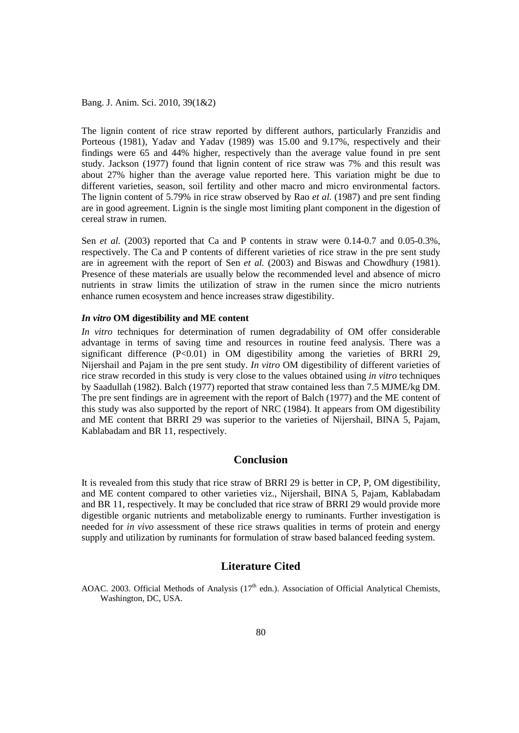The lignin content of rice straw reported by different authors, particularly Franzidis and Porteous (1981), Yadav and Yadav (1989) was 15.00 and 9.17%, respectively and their findings were 65 and 44% higher, respectively than the average value found in pre sent study. Jackson (1977) found that lignin content of rice straw was 7% and this result was about 27% higher than the average value reported here. This variation might be due to different varieties, season, soil fertility and other macro and micro environmental factors. The lignin content of 5.79% in rice straw observed by Rao *et al.* (1987) and pre sent finding are in good agreement. Lignin is the single most limiting plant component in the digestion of cereal straw in rumen.

Sen *et al.* (2003) reported that Ca and P contents in straw were 0.14-0.7 and 0.05-0.3%, respectively. The Ca and P contents of different varieties of rice straw in the pre sent study are in agreement with the report of Sen *et al.* (2003) and Biswas and Chowdhury (1981). Presence of these materials are usually below the recommended level and absence of micro nutrients in straw limits the utilization of straw in the rumen since the micro nutrients enhance rumen ecosystem and hence increases straw digestibility.

## *In vitro* **OM digestibility and ME content**

*In vitro* techniques for determination of rumen degradability of OM offer considerable advantage in terms of saving time and resources in routine feed analysis. There was a significant difference  $(P<0.01)$  in OM digestibility among the varieties of BRRI 29, Nijershail and Pajam in the pre sent study. *In vitro* OM digestibility of different varieties of rice straw recorded in this study is very close to the values obtained using *in vitro* techniques by Saadullah (1982). Balch (1977) reported that straw contained less than 7.5 MJME/kg DM. The pre sent findings are in agreement with the report of Balch (1977) and the ME content of this study was also supported by the report of NRC (1984). It appears from OM digestibility and ME content that BRRI 29 was superior to the varieties of Nijershail, BINA 5, Pajam, Kablabadam and BR 11, respectively.

### **Conclusion**

It is revealed from this study that rice straw of BRRI 29 is better in CP, P, OM digestibility, and ME content compared to other varieties viz., Nijershail, BINA 5, Pajam, Kablabadam and BR 11, respectively. It may be concluded that rice straw of BRRI 29 would provide more digestible organic nutrients and metabolizable energy to ruminants. Further investigation is needed for *in vivo* assessment of these rice straws qualities in terms of protein and energy supply and utilization by ruminants for formulation of straw based balanced feeding system.

## **Literature Cited**

AOAC. 2003. Official Methods of Analysis (17<sup>th</sup> edn.). Association of Official Analytical Chemists, Washington, DC, USA.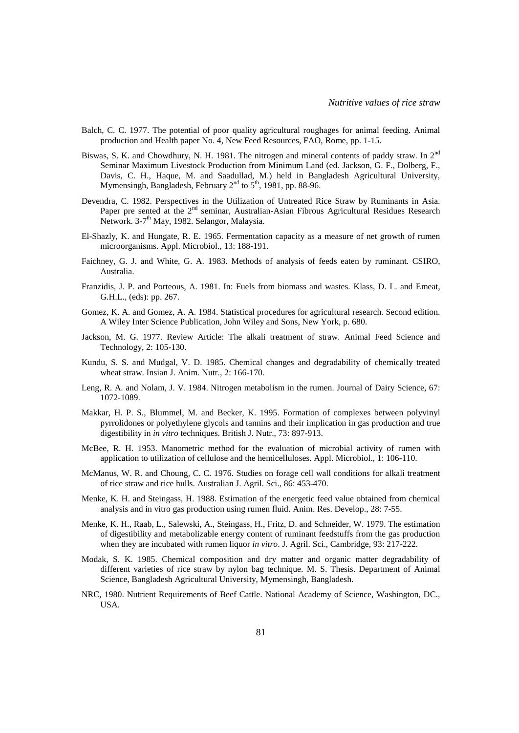- Balch, C. C. 1977. The potential of poor quality agricultural roughages for animal feeding. Animal production and Health paper No. 4, New Feed Resources, FAO, Rome, pp. 1-15.
- Biswas, S. K. and Chowdhury, N. H. 1981. The nitrogen and mineral contents of paddy straw. In 2<sup>nd</sup> Seminar Maximum Livestock Production from Minimum Land (ed. Jackson, G. F., Dolberg, F., Davis, C. H., Haque, M. and Saadullad, M.) held in Bangladesh Agricultural University, Mymensingh, Bangladesh, February  $2<sup>nd</sup>$  to  $5<sup>th</sup>$ , 1981, pp. 88-96.
- Devendra, C. 1982. Perspectives in the Utilization of Untreated Rice Straw by Ruminants in Asia. Paper pre sented at the 2<sup>nd</sup> seminar, Australian-Asian Fibrous Agricultural Residues Research Network. 3-7<sup>th</sup> May, 1982. Selangor, Malaysia.
- El-Shazly, K. and Hungate, R. E. 1965. Fermentation capacity as a measure of net growth of rumen microorganisms. Appl. Microbiol., 13: 188-191.
- Faichney, G. J. and White, G. A. 1983. Methods of analysis of feeds eaten by ruminant. CSIRO, Australia.
- Franzidis, J. P. and Porteous, A. 1981. In: Fuels from biomass and wastes. Klass, D. L. and Emeat, G.H.L., (eds): pp. 267.
- Gomez, K. A. and Gomez, A. A. 1984. Statistical procedures for agricultural research. Second edition. A Wiley Inter Science Publication, John Wiley and Sons, New York, p. 680.
- Jackson, M. G. 1977. Review Article: The alkali treatment of straw. Animal Feed Science and Technology, 2: 105-130.
- Kundu, S. S. and Mudgal, V. D. 1985. Chemical changes and degradability of chemically treated wheat straw. Insian J. Anim. Nutr., 2: 166-170.
- Leng, R. A. and Nolam, J. V. 1984. Nitrogen metabolism in the rumen. Journal of Dairy Science, 67: 1072-1089.
- Makkar, H. P. S., Blummel, M. and Becker, K. 1995. Formation of complexes between polyvinyl pyrrolidones or polyethylene glycols and tannins and their implication in gas production and true digestibility in *in vitro* techniques. British J. Nutr., 73: 897-913.
- McBee, R. H. 1953. Manometric method for the evaluation of microbial activity of rumen with application to utilization of cellulose and the hemicelluloses. Appl. Microbiol., 1: 106-110.
- McManus, W. R. and Choung, C. C. 1976. Studies on forage cell wall conditions for alkali treatment of rice straw and rice hulls. Australian J. Agril. Sci., 86: 453-470.
- Menke, K. H. and Steingass, H. 1988. Estimation of the energetic feed value obtained from chemical analysis and in vitro gas production using rumen fluid. Anim. Res. Develop., 28: 7-55.
- Menke, K. H., Raab, L., Salewski, A., Steingass, H., Fritz, D. and Schneider, W. 1979. The estimation of digestibility and metabolizable energy content of ruminant feedstuffs from the gas production when they are incubated with rumen liquor *in vitro*. J. Agril. Sci., Cambridge, 93: 217-222.
- Modak, S. K. 1985. Chemical composition and dry matter and organic matter degradability of different varieties of rice straw by nylon bag technique. M. S. Thesis. Department of Animal Science, Bangladesh Agricultural University, Mymensingh, Bangladesh.
- NRC, 1980. Nutrient Requirements of Beef Cattle. National Academy of Science, Washington, DC., USA.